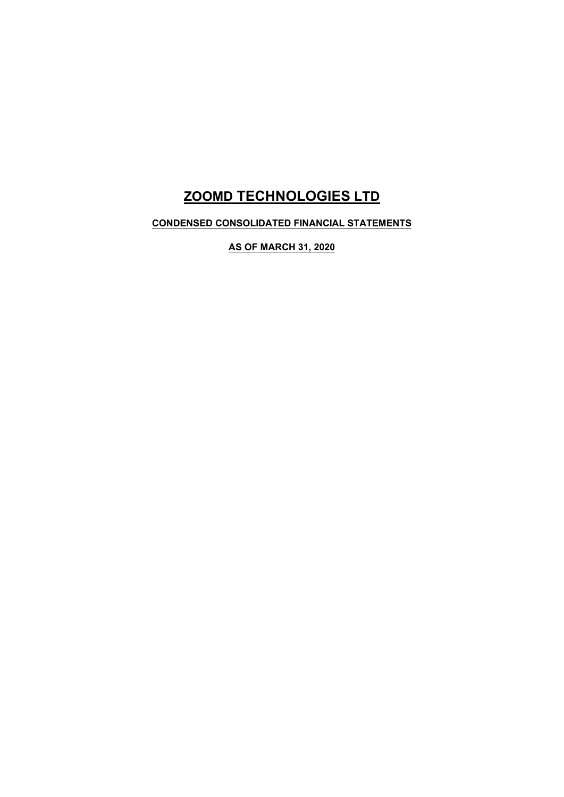# **ZOOMD TECHNOLOGIES LTD**

**CONDENSED CONSOLIDATED FINANCIAL STATEMENTS** 

**AS OF MARCH 31, 2020**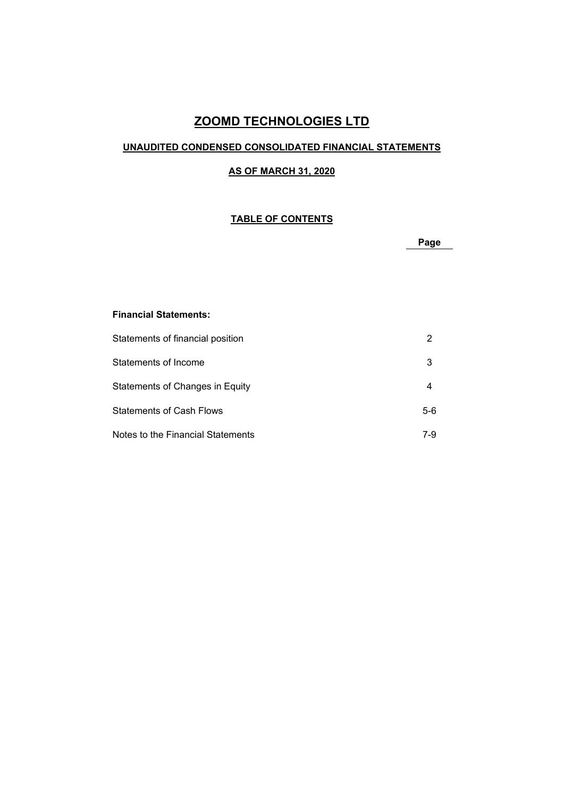# **ZOOMD TECHNOLOGIES LTD**

### **UNAUDITED CONDENSED CONSOLIDATED FINANCIAL STATEMENTS**

### **AS OF MARCH 31, 2020**

### **TABLE OF CONTENTS**

**Page** 

### **Financial Statements:**

| Statements of financial position  |      |
|-----------------------------------|------|
| Statements of Income              | 3    |
| Statements of Changes in Equity   |      |
| Statements of Cash Flows          | 5-6  |
| Notes to the Financial Statements | 7-9. |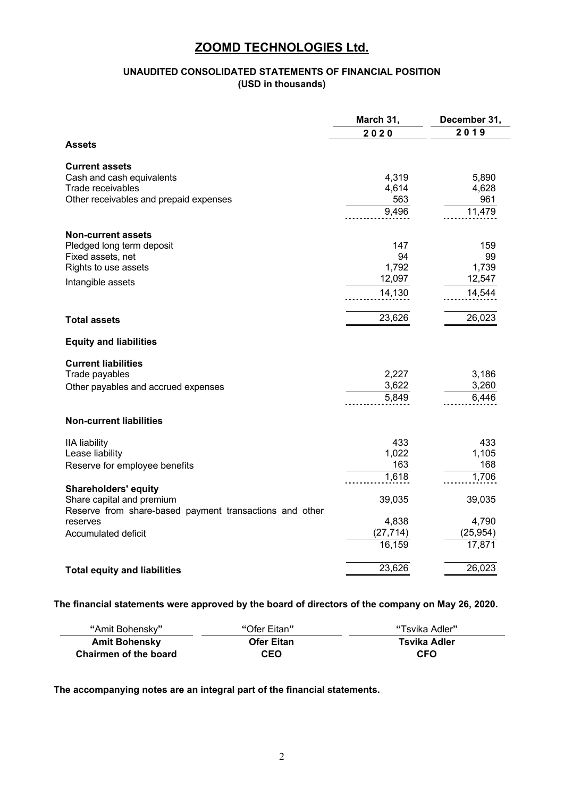### **UNAUDITED CONSOLIDATED STATEMENTS OF FINANCIAL POSITION (USD in thousands)**

|                                                         | March 31, | December 31, |
|---------------------------------------------------------|-----------|--------------|
|                                                         | 2020      | 2019         |
| <b>Assets</b>                                           |           |              |
| <b>Current assets</b>                                   |           |              |
| Cash and cash equivalents                               | 4,319     | 5,890        |
| Trade receivables                                       | 4,614     | 4,628        |
| Other receivables and prepaid expenses                  | 563       | 961          |
|                                                         | 9,496     | 11,479       |
| <b>Non-current assets</b>                               |           |              |
| Pledged long term deposit                               | 147       | 159          |
| Fixed assets, net                                       | 94        | 99           |
| Rights to use assets                                    | 1,792     | 1,739        |
| Intangible assets                                       | 12,097    | 12,547       |
|                                                         | 14,130    | 14,544       |
|                                                         |           |              |
| <b>Total assets</b>                                     | 23,626    | 26,023       |
| <b>Equity and liabilities</b>                           |           |              |
| <b>Current liabilities</b>                              |           |              |
| Trade payables                                          | 2,227     | 3,186        |
| Other payables and accrued expenses                     | 3,622     | 3,260        |
|                                                         | 5,849     | 6,446        |
| <b>Non-current liabilities</b>                          |           |              |
| <b>IIA liability</b>                                    | 433       | 433          |
| Lease liability                                         | 1,022     | 1,105        |
| Reserve for employee benefits                           | 163       | 168          |
|                                                         | 1,618     | 1,706        |
| <b>Shareholders' equity</b>                             |           |              |
| Share capital and premium                               | 39,035    | 39,035       |
| Reserve from share-based payment transactions and other |           |              |
| reserves                                                | 4,838     | 4,790        |
| Accumulated deficit                                     | (27, 714) | (25, 954)    |
|                                                         | 16,159    | 17,871       |
| <b>Total equity and liabilities</b>                     | 23,626    | 26,023       |

### **The financial statements were approved by the board of directors of the company on May 26, 2020.**

| "Amit Bohenskv"       | "Ofer Eitan"      | "Tsvika Adler" |
|-----------------------|-------------------|----------------|
| <b>Amit Bohensky</b>  | <b>Ofer Eitan</b> | Tsvika Adler   |
| Chairmen of the board | <b>CEO</b>        | <b>CFO</b>     |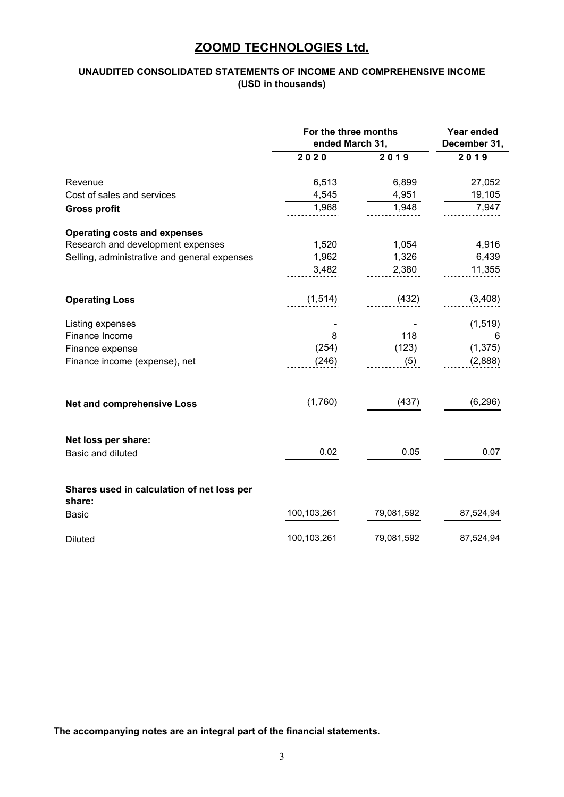### **UNAUDITED CONSOLIDATED STATEMENTS OF INCOME AND COMPREHENSIVE INCOME (USD in thousands)**

|                                                      | For the three months<br>ended March 31, | Year ended<br>December 31, |           |
|------------------------------------------------------|-----------------------------------------|----------------------------|-----------|
|                                                      | 2020                                    | 2019                       | 2019      |
| Revenue                                              | 6,513                                   | 6,899                      | 27,052    |
| Cost of sales and services                           | 4,545                                   | 4,951                      | 19,105    |
| <b>Gross profit</b>                                  | 1,968                                   | 1,948                      | 7,947     |
| <b>Operating costs and expenses</b>                  |                                         |                            |           |
| Research and development expenses                    | 1,520                                   | 1,054                      | 4,916     |
| Selling, administrative and general expenses         | 1,962                                   | 1,326                      | 6,439     |
|                                                      | 3,482                                   | 2,380                      | 11,355    |
| <b>Operating Loss</b>                                | (1, 514)                                | (432)                      | (3,408)   |
| Listing expenses                                     |                                         |                            | (1, 519)  |
| Finance Income                                       | 8                                       | 118                        | 6         |
| Finance expense                                      | (254)                                   | (123)                      | (1, 375)  |
| Finance income (expense), net                        | (246)                                   | (5)                        | (2,888)   |
| <b>Net and comprehensive Loss</b>                    | (1,760)                                 | (437)                      | (6, 296)  |
| Net loss per share:                                  |                                         |                            |           |
| Basic and diluted                                    | 0.02                                    | 0.05                       | 0.07      |
| Shares used in calculation of net loss per<br>share: |                                         |                            |           |
| <b>Basic</b>                                         | 100,103,261                             | 79,081,592                 | 87,524,94 |
| <b>Diluted</b>                                       | 100,103,261                             | 79,081,592                 | 87,524,94 |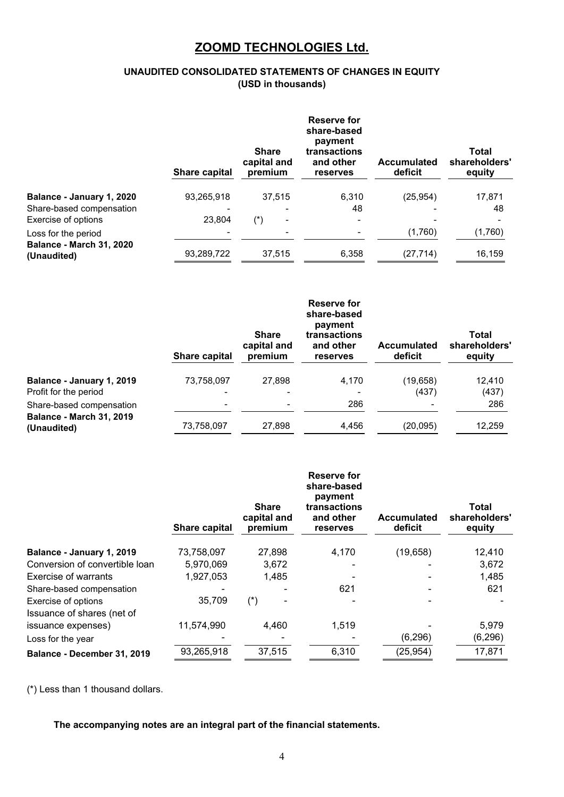### **UNAUDITED CONSOLIDATED STATEMENTS OF CHANGES IN EQUITY (USD in thousands)**

|                                                | Share capital | <b>Share</b><br>capital and<br>premium | <b>Reserve for</b><br>share-based<br>payment<br>transactions<br>and other<br>reserves | <b>Accumulated</b><br>deficit | <b>Total</b><br>shareholders'<br>equity |
|------------------------------------------------|---------------|----------------------------------------|---------------------------------------------------------------------------------------|-------------------------------|-----------------------------------------|
| Balance - January 1, 2020                      | 93,265,918    | 37,515                                 | 6,310                                                                                 | (25, 954)                     | 17,871                                  |
| Share-based compensation                       |               |                                        | 48                                                                                    |                               | 48                                      |
| Exercise of options                            | 23,804        | $(\dot{ }^{\ast })$<br>۰               |                                                                                       |                               |                                         |
| Loss for the period                            |               |                                        |                                                                                       | (1,760)                       | (1,760)                                 |
| <b>Balance - March 31, 2020</b><br>(Unaudited) | 93,289,722    | 37,515                                 | 6,358                                                                                 | (27, 714)                     | 16,159                                  |

|                                                    | Share capital | <b>Share</b><br>capital and<br>premium | Reserve for<br>share-based<br>payment<br>transactions<br>and other<br>reserves | <b>Accumulated</b><br>deficit | Total<br>shareholders'<br>equity |
|----------------------------------------------------|---------------|----------------------------------------|--------------------------------------------------------------------------------|-------------------------------|----------------------------------|
| Balance - January 1, 2019<br>Profit for the period | 73,758,097    | 27,898<br>-                            | 4,170                                                                          | (19, 658)<br>(437)            | 12,410<br>(437)                  |
| Share-based compensation                           | ۰             | ۰                                      | 286                                                                            | ۰                             | 286                              |
| <b>Balance - March 31, 2019</b><br>(Unaudited)     | 73,758,097    | 27,898                                 | 4,456                                                                          | (20, 095)                     | 12,259                           |

|                                | Share capital | <b>Share</b><br>capital and<br>premium | <b>Reserve for</b><br>share-based<br>payment<br>transactions<br>and other<br>reserves | <b>Accumulated</b><br>deficit | Total<br>shareholders'<br>equity |
|--------------------------------|---------------|----------------------------------------|---------------------------------------------------------------------------------------|-------------------------------|----------------------------------|
| Balance - January 1, 2019      | 73,758,097    | 27,898                                 | 4,170                                                                                 | (19,658)                      | 12,410                           |
| Conversion of convertible loan | 5,970,069     | 3,672                                  |                                                                                       |                               | 3,672                            |
| <b>Exercise of warrants</b>    | 1,927,053     | 1,485                                  |                                                                                       |                               | 1,485                            |
| Share-based compensation       |               |                                        | 621                                                                                   |                               | 621                              |
| Exercise of options            | 35,709        | $(\dot{r})$                            |                                                                                       |                               |                                  |
| Issuance of shares (net of     |               |                                        |                                                                                       |                               |                                  |
| issuance expenses)             | 11,574,990    | 4,460                                  | 1,519                                                                                 |                               | 5,979                            |
| Loss for the year              |               |                                        |                                                                                       | (6, 296)                      | (6, 296)                         |
| Balance - December 31, 2019    | 93,265,918    | 37,515                                 | 6,310                                                                                 | (25, 954)                     | 17,871                           |

(\*) Less than 1 thousand dollars.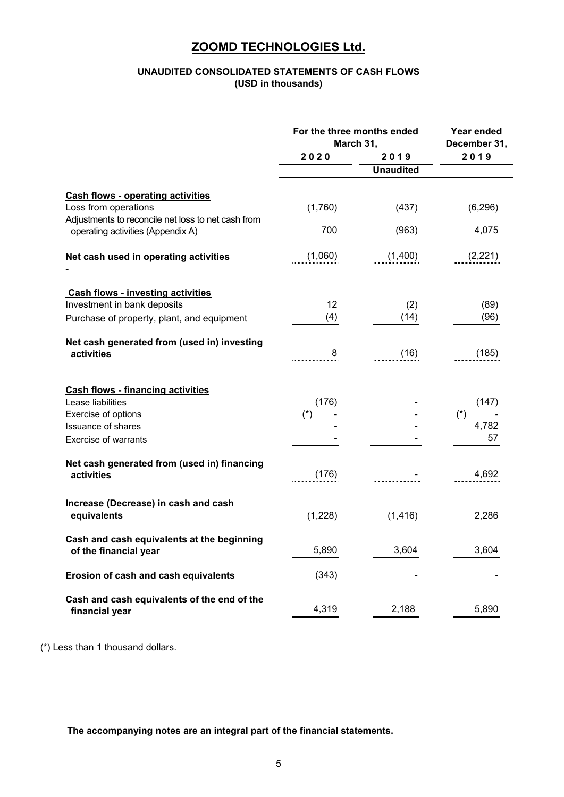### **UNAUDITED CONSOLIDATED STATEMENTS OF CASH FLOWS (USD in thousands)**

|                                                                                                                        | For the three months ended<br>March 31, | Year ended<br>December 31, |              |
|------------------------------------------------------------------------------------------------------------------------|-----------------------------------------|----------------------------|--------------|
|                                                                                                                        | 2020<br>2019                            |                            | 2019         |
|                                                                                                                        |                                         | <b>Unaudited</b>           |              |
| <b>Cash flows - operating activities</b><br>Loss from operations<br>Adjustments to reconcile net loss to net cash from | (1,760)                                 | (437)                      | (6, 296)     |
| operating activities (Appendix A)                                                                                      | 700                                     | (963)                      | 4,075        |
| Net cash used in operating activities                                                                                  | (1,060)                                 | (1,400)                    | (2,221)      |
| <b>Cash flows - investing activities</b><br>Investment in bank deposits<br>Purchase of property, plant, and equipment  | 12<br>(4)                               | (2)<br>(14)                | (89)<br>(96) |
| Net cash generated from (used in) investing<br>activities                                                              | 8                                       | (16)                       | (185)        |
| <b>Cash flows - financing activities</b>                                                                               |                                         |                            |              |
| Lease liabilities                                                                                                      | (176)                                   |                            | (147)        |
| Exercise of options                                                                                                    | $(*)$                                   |                            | $(*)$        |
| <b>Issuance of shares</b>                                                                                              |                                         |                            | 4,782        |
| <b>Exercise of warrants</b>                                                                                            |                                         |                            | 57           |
| Net cash generated from (used in) financing<br>activities                                                              | (176)                                   |                            | 4,692        |
| Increase (Decrease) in cash and cash<br>equivalents                                                                    | (1,228)                                 | (1, 416)                   | 2,286        |
| Cash and cash equivalents at the beginning<br>of the financial year                                                    | 5,890                                   | 3,604                      | 3,604        |
| Erosion of cash and cash equivalents                                                                                   | (343)                                   |                            |              |
| Cash and cash equivalents of the end of the<br>financial year                                                          | 4,319                                   | 2,188                      | 5,890        |

(\*) Less than 1 thousand dollars.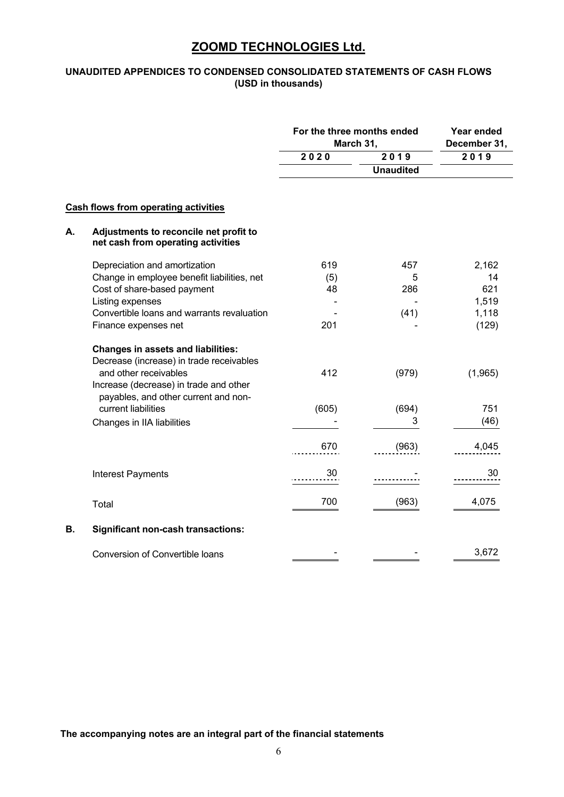### **UNAUDITED APPENDICES TO CONDENSED CONSOLIDATED STATEMENTS OF CASH FLOWS (USD in thousands)**

|    |                                                                                                                                                          | For the three months ended<br>March 31, |                  | Year ended<br>December 31, |  |
|----|----------------------------------------------------------------------------------------------------------------------------------------------------------|-----------------------------------------|------------------|----------------------------|--|
|    |                                                                                                                                                          | 2020                                    | 2019             | 2019                       |  |
|    |                                                                                                                                                          |                                         | <b>Unaudited</b> |                            |  |
|    | <b>Cash flows from operating activities</b>                                                                                                              |                                         |                  |                            |  |
| А. | Adjustments to reconcile net profit to<br>net cash from operating activities                                                                             |                                         |                  |                            |  |
|    | Depreciation and amortization                                                                                                                            | 619                                     | 457              | 2,162                      |  |
|    | Change in employee benefit liabilities, net                                                                                                              | (5)                                     | 5                | 14                         |  |
|    | Cost of share-based payment                                                                                                                              | 48                                      | 286              | 621                        |  |
|    | Listing expenses                                                                                                                                         |                                         |                  | 1,519                      |  |
|    | Convertible loans and warrants revaluation                                                                                                               |                                         | (41)             | 1,118                      |  |
|    | Finance expenses net                                                                                                                                     | 201                                     |                  | (129)                      |  |
|    | <b>Changes in assets and liabilities:</b><br>Decrease (increase) in trade receivables<br>and other receivables<br>Increase (decrease) in trade and other | 412                                     | (979)            | (1,965)                    |  |
|    | payables, and other current and non-                                                                                                                     |                                         |                  |                            |  |
|    | current liabilities                                                                                                                                      | (605)                                   | (694)            | 751                        |  |
|    | Changes in IIA liabilities                                                                                                                               |                                         | 3                | (46)                       |  |
|    |                                                                                                                                                          | 670                                     | (963)            | 4,045                      |  |
|    | <b>Interest Payments</b>                                                                                                                                 | 30                                      |                  | 30                         |  |
|    | Total                                                                                                                                                    | 700                                     | (963)            | 4,075                      |  |
| В. | <b>Significant non-cash transactions:</b>                                                                                                                |                                         |                  |                            |  |
|    | Conversion of Convertible loans                                                                                                                          |                                         |                  | 3,672                      |  |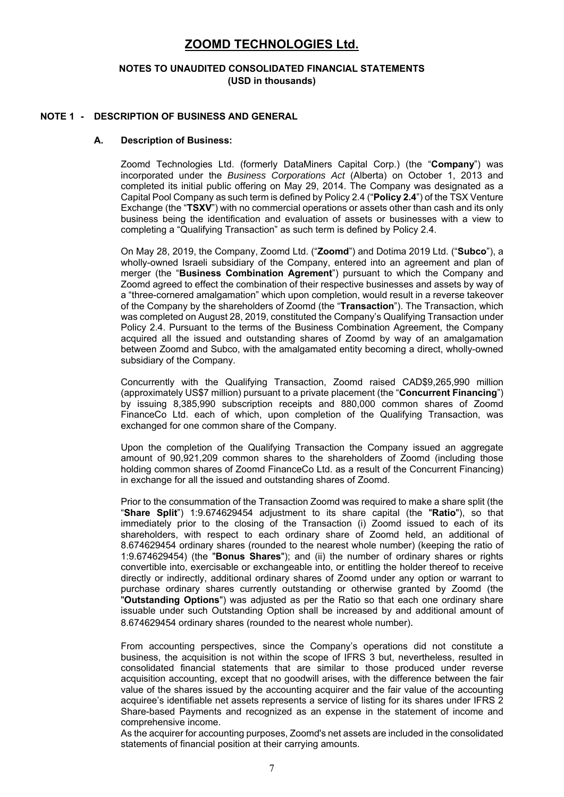#### **NOTES TO UNAUDITED CONSOLIDATED FINANCIAL STATEMENTS (USD in thousands)**

#### **NOTE 1 - DESCRIPTION OF BUSINESS AND GENERAL**

#### **A. Description of Business:**

Zoomd Technologies Ltd. (formerly DataMiners Capital Corp.) (the "**Company**") was incorporated under the *Business Corporations Act* (Alberta) on October 1, 2013 and completed its initial public offering on May 29, 2014. The Company was designated as a Capital Pool Company as such term is defined by Policy 2.4 ("**Policy 2.4**") of the TSX Venture Exchange (the "**TSXV**") with no commercial operations or assets other than cash and its only business being the identification and evaluation of assets or businesses with a view to completing a "Qualifying Transaction" as such term is defined by Policy 2.4.

On May 28, 2019, the Company, Zoomd Ltd. ("**Zoomd**") and Dotima 2019 Ltd. ("**Subco**"), a wholly-owned Israeli subsidiary of the Company, entered into an agreement and plan of merger (the "**Business Combination Agrement**") pursuant to which the Company and Zoomd agreed to effect the combination of their respective businesses and assets by way of a "three-cornered amalgamation" which upon completion, would result in a reverse takeover of the Company by the shareholders of Zoomd (the "**Transaction**"). The Transaction, which was completed on August 28, 2019, constituted the Company's Qualifying Transaction under Policy 2.4. Pursuant to the terms of the Business Combination Agreement, the Company acquired all the issued and outstanding shares of Zoomd by way of an amalgamation between Zoomd and Subco, with the amalgamated entity becoming a direct, wholly-owned subsidiary of the Company.

Concurrently with the Qualifying Transaction, Zoomd raised CAD\$9,265,990 million (approximately US\$7 million) pursuant to a private placement (the "**Concurrent Financing**") by issuing 8,385,990 subscription receipts and 880,000 common shares of Zoomd FinanceCo Ltd. each of which, upon completion of the Qualifying Transaction, was exchanged for one common share of the Company.

Upon the completion of the Qualifying Transaction the Company issued an aggregate amount of 90,921,209 common shares to the shareholders of Zoomd (including those holding common shares of Zoomd FinanceCo Ltd. as a result of the Concurrent Financing) in exchange for all the issued and outstanding shares of Zoomd.

Prior to the consummation of the Transaction Zoomd was required to make a share split (the "**Share Split**") 1:9.674629454 adjustment to its share capital (the "**Ratio**"), so that immediately prior to the closing of the Transaction (i) Zoomd issued to each of its shareholders, with respect to each ordinary share of Zoomd held, an additional of 8.674629454 ordinary shares (rounded to the nearest whole number) (keeping the ratio of 1:9.674629454) (the "**Bonus Shares**"); and (ii) the number of ordinary shares or rights convertible into, exercisable or exchangeable into, or entitling the holder thereof to receive directly or indirectly, additional ordinary shares of Zoomd under any option or warrant to purchase ordinary shares currently outstanding or otherwise granted by Zoomd (the "**Outstanding Options**") was adjusted as per the Ratio so that each one ordinary share issuable under such Outstanding Option shall be increased by and additional amount of 8.674629454 ordinary shares (rounded to the nearest whole number).

From accounting perspectives, since the Company's operations did not constitute a business, the acquisition is not within the scope of IFRS 3 but, nevertheless, resulted in consolidated financial statements that are similar to those produced under reverse acquisition accounting, except that no goodwill arises, with the difference between the fair value of the shares issued by the accounting acquirer and the fair value of the accounting acquiree's identifiable net assets represents a service of listing for its shares under IFRS 2 Share-based Payments and recognized as an expense in the statement of income and comprehensive income.

As the acquirer for accounting purposes, Zoomd's net assets are included in the consolidated statements of financial position at their carrying amounts.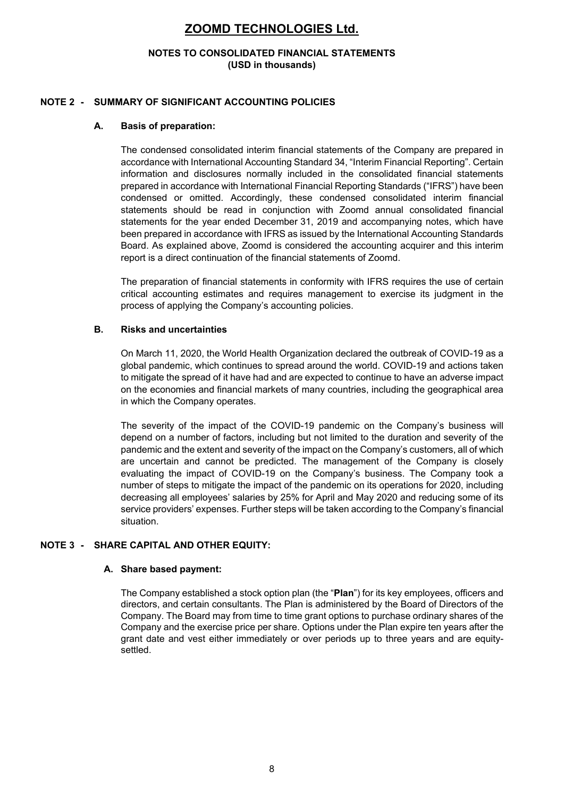#### **NOTES TO CONSOLIDATED FINANCIAL STATEMENTS (USD in thousands)**

### **NOTE 2 - SUMMARY OF SIGNIFICANT ACCOUNTING POLICIES**

### **A. Basis of preparation:**

The condensed consolidated interim financial statements of the Company are prepared in accordance with International Accounting Standard 34, "Interim Financial Reporting". Certain information and disclosures normally included in the consolidated financial statements prepared in accordance with International Financial Reporting Standards ("IFRS") have been condensed or omitted. Accordingly, these condensed consolidated interim financial statements should be read in conjunction with Zoomd annual consolidated financial statements for the year ended December 31, 2019 and accompanying notes, which have been prepared in accordance with IFRS as issued by the International Accounting Standards Board. As explained above, Zoomd is considered the accounting acquirer and this interim report is a direct continuation of the financial statements of Zoomd.

The preparation of financial statements in conformity with IFRS requires the use of certain critical accounting estimates and requires management to exercise its judgment in the process of applying the Company's accounting policies.

### **B. Risks and uncertainties**

On March 11, 2020, the World Health Organization declared the outbreak of COVID-19 as a global pandemic, which continues to spread around the world. COVID-19 and actions taken to mitigate the spread of it have had and are expected to continue to have an adverse impact on the economies and financial markets of many countries, including the geographical area in which the Company operates.

The severity of the impact of the COVID-19 pandemic on the Company's business will depend on a number of factors, including but not limited to the duration and severity of the pandemic and the extent and severity of the impact on the Company's customers, all of which are uncertain and cannot be predicted. The management of the Company is closely evaluating the impact of COVID-19 on the Company's business. The Company took a number of steps to mitigate the impact of the pandemic on its operations for 2020, including decreasing all employees' salaries by 25% for April and May 2020 and reducing some of its service providers' expenses. Further steps will be taken according to the Company's financial situation.

### **NOTE 3 - SHARE CAPITAL AND OTHER EQUITY:**

### **A. Share based payment:**

The Company established a stock option plan (the "**Plan**") for its key employees, officers and directors, and certain consultants. The Plan is administered by the Board of Directors of the Company. The Board may from time to time grant options to purchase ordinary shares of the Company and the exercise price per share. Options under the Plan expire ten years after the grant date and vest either immediately or over periods up to three years and are equitysettled.